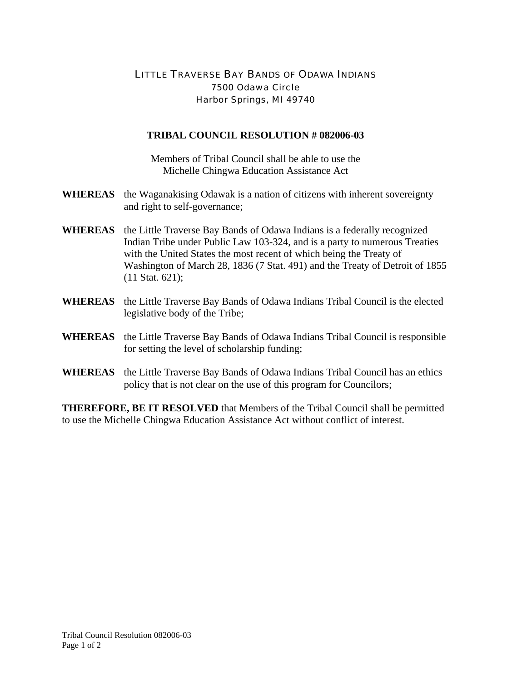## LITTLE TRAVERSE BAY BANDS OF ODAWA INDIANS 7500 Odawa Circle Harbor Springs, MI 49740

## **TRIBAL COUNCIL RESOLUTION # 082006-03**

Members of Tribal Council shall be able to use the Michelle Chingwa Education Assistance Act

- **WHEREAS** the Waganakising Odawak is a nation of citizens with inherent sovereignty and right to self-governance;
- **WHEREAS** the Little Traverse Bay Bands of Odawa Indians is a federally recognized Indian Tribe under Public Law 103-324, and is a party to numerous Treaties with the United States the most recent of which being the Treaty of Washington of March 28, 1836 (7 Stat. 491) and the Treaty of Detroit of 1855 (11 Stat. 621);
- **WHEREAS** the Little Traverse Bay Bands of Odawa Indians Tribal Council is the elected legislative body of the Tribe;
- **WHEREAS** the Little Traverse Bay Bands of Odawa Indians Tribal Council is responsible for setting the level of scholarship funding;
- **WHEREAS** the Little Traverse Bay Bands of Odawa Indians Tribal Council has an ethics policy that is not clear on the use of this program for Councilors;

**THEREFORE, BE IT RESOLVED** that Members of the Tribal Council shall be permitted to use the Michelle Chingwa Education Assistance Act without conflict of interest.